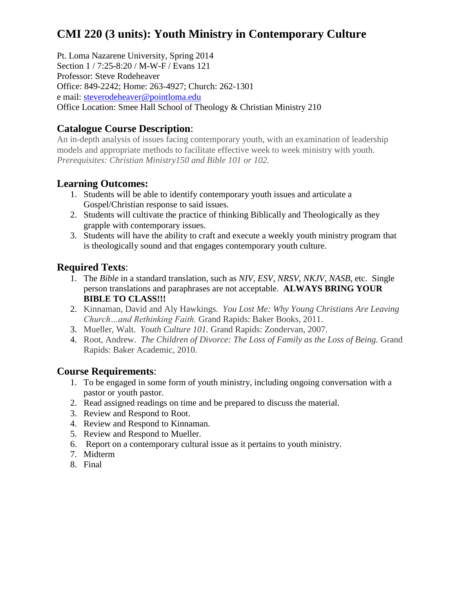# **CMI 220 (3 units): Youth Ministry in Contemporary Culture**

Pt. Loma Nazarene University, Spring 2014 Section 1 / 7:25-8:20 / M-W-F / Evans 121 Professor: Steve Rodeheaver Office: 849-2242; Home: 263-4927; Church: 262-1301 e mail: [steverodeheaver@pointloma.edu](mailto:steverodeheaver@pointloma.edu) Office Location: Smee Hall School of Theology & Christian Ministry 210

## **Catalogue Course Description**:

An in-depth analysis of issues facing contemporary youth, with an examination of leadership models and appropriate methods to facilitate effective week to week ministry with youth. *Prerequisites: Christian Ministry150 and Bible 101 or 102.*

## **Learning Outcomes:**

- 1. Students will be able to identify contemporary youth issues and articulate a Gospel/Christian response to said issues.
- 2. Students will cultivate the practice of thinking Biblically and Theologically as they grapple with contemporary issues.
- 3. Students will have the ability to craft and execute a weekly youth ministry program that is theologically sound and that engages contemporary youth culture.

#### **Required Texts**:

- 1. The *Bible* in a standard translation, such as *NIV*, *ESV*, *NRSV*, *NKJV*, *NASB*, etc. Single person translations and paraphrases are not acceptable. **ALWAYS BRING YOUR BIBLE TO CLASS!!!**
- 2. Kinnaman, David and Aly Hawkings. *You Lost Me: Why Young Christians Are Leaving Church…and Rethinking Faith.* Grand Rapids: Baker Books, 2011.
- 3. Mueller, Walt. *Youth Culture 101.* Grand Rapids: Zondervan, 2007.
- 4. Root, Andrew. *The Children of Divorce: The Loss of Family as the Loss of Being.* Grand Rapids: Baker Academic, 2010.

## **Course Requirements**:

- 1. To be engaged in some form of youth ministry, including ongoing conversation with a pastor or youth pastor.
- 2. Read assigned readings on time and be prepared to discuss the material.
- 3. Review and Respond to Root.
- 4. Review and Respond to Kinnaman.
- 5. Review and Respond to Mueller.
- 6. Report on a contemporary cultural issue as it pertains to youth ministry.
- 7. Midterm
- 8. Final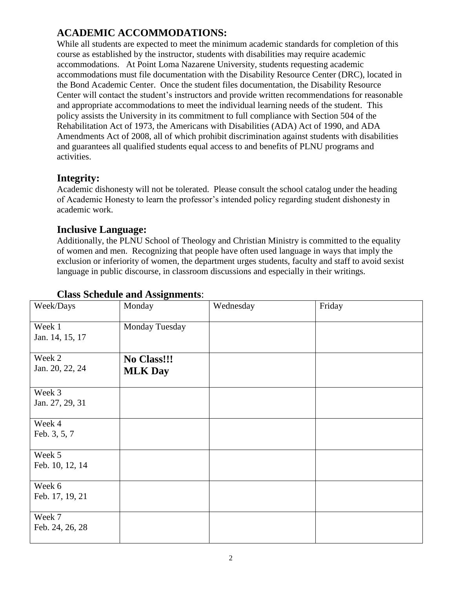# **ACADEMIC ACCOMMODATIONS:**

While all students are expected to meet the minimum academic standards for completion of this course as established by the instructor, students with disabilities may require academic accommodations. At Point Loma Nazarene University, students requesting academic accommodations must file documentation with the Disability Resource Center (DRC), located in the Bond Academic Center. Once the student files documentation, the Disability Resource Center will contact the student's instructors and provide written recommendations for reasonable and appropriate accommodations to meet the individual learning needs of the student. This policy assists the University in its commitment to full compliance with Section 504 of the Rehabilitation Act of 1973, the Americans with Disabilities (ADA) Act of 1990, and ADA Amendments Act of 2008, all of which prohibit discrimination against students with disabilities and guarantees all qualified students equal access to and benefits of PLNU programs and activities.

#### **Integrity:**

Academic dishonesty will not be tolerated. Please consult the school catalog under the heading of Academic Honesty to learn the professor's intended policy regarding student dishonesty in academic work.

#### **Inclusive Language:**

Additionally, the PLNU School of Theology and Christian Ministry is committed to the equality of women and men. Recognizing that people have often used language in ways that imply the exclusion or inferiority of women, the department urges students, faculty and staff to avoid sexist language in public discourse, in classroom discussions and especially in their writings.

| Week/Days                 | Monday                        | Wednesday | Friday |
|---------------------------|-------------------------------|-----------|--------|
| Week 1<br>Jan. 14, 15, 17 | Monday Tuesday                |           |        |
| Week 2<br>Jan. 20, 22, 24 | No Class!!!<br><b>MLK Day</b> |           |        |
| Week 3<br>Jan. 27, 29, 31 |                               |           |        |
| Week 4<br>Feb. 3, 5, 7    |                               |           |        |
| Week 5<br>Feb. 10, 12, 14 |                               |           |        |
| Week 6<br>Feb. 17, 19, 21 |                               |           |        |
| Week 7<br>Feb. 24, 26, 28 |                               |           |        |

# **Class Schedule and Assignments**: